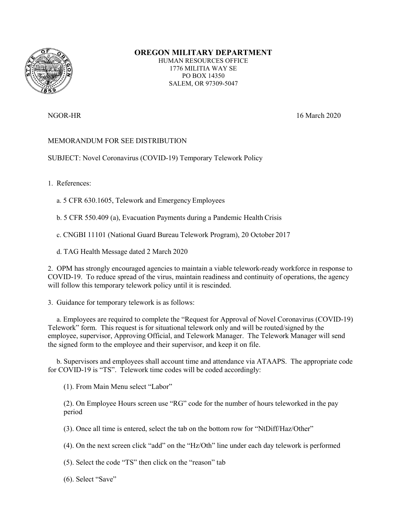

## **OREGON MILITARY DEPARTMENT**

HUMAN RESOURCES OFFICE 1776 MILITIA WAY SE PO BOX 14350 SALEM, OR 97309-5047

NGOR-HR 16 March 2020

## MEMORANDUM FOR SEE DISTRIBUTION

SUBJECT: Novel Coronavirus (COVID-19) Temporary Telework Policy

1. References:

a. 5 CFR 630.1605, Telework and Emergency Employees

b. 5 CFR 550.409 (a), Evacuation Payments during a Pandemic Health Crisis

c. CNGBI 11101 (National Guard Bureau Telework Program), 20 October 2017

d. TAG Health Message dated 2 March 2020

2. OPM has strongly encouraged agencies to maintain a viable telework-ready workforce in response to COVID-19. To reduce spread of the virus, maintain readiness and continuity of operations, the agency will follow this temporary telework policy until it is rescinded.

3. Guidance for temporary telework is as follows:

a. Employees are required to complete the "Request for Approval of Novel Coronavirus (COVID-19) Telework" form. This request is for situational telework only and will be routed/signed by the employee, supervisor, Approving Official, and Telework Manager. The Telework Manager will send the signed form to the employee and their supervisor, and keep it on file.

b. Supervisors and employees shall account time and attendance via ATAAPS. The appropriate code for COVID-19 is "TS". Telework time codes will be coded accordingly:

(1). From Main Menu select "Labor"

(2). On Employee Hours screen use "RG" code for the number of hours teleworked in the pay period

(3). Once all time is entered, select the tab on the bottom row for "NtDiff/Haz/Other"

(4). On the next screen click "add" on the "Hz/Oth" line under each day telework is performed

(5). Select the code "TS" then click on the "reason" tab

(6). Select "Save"